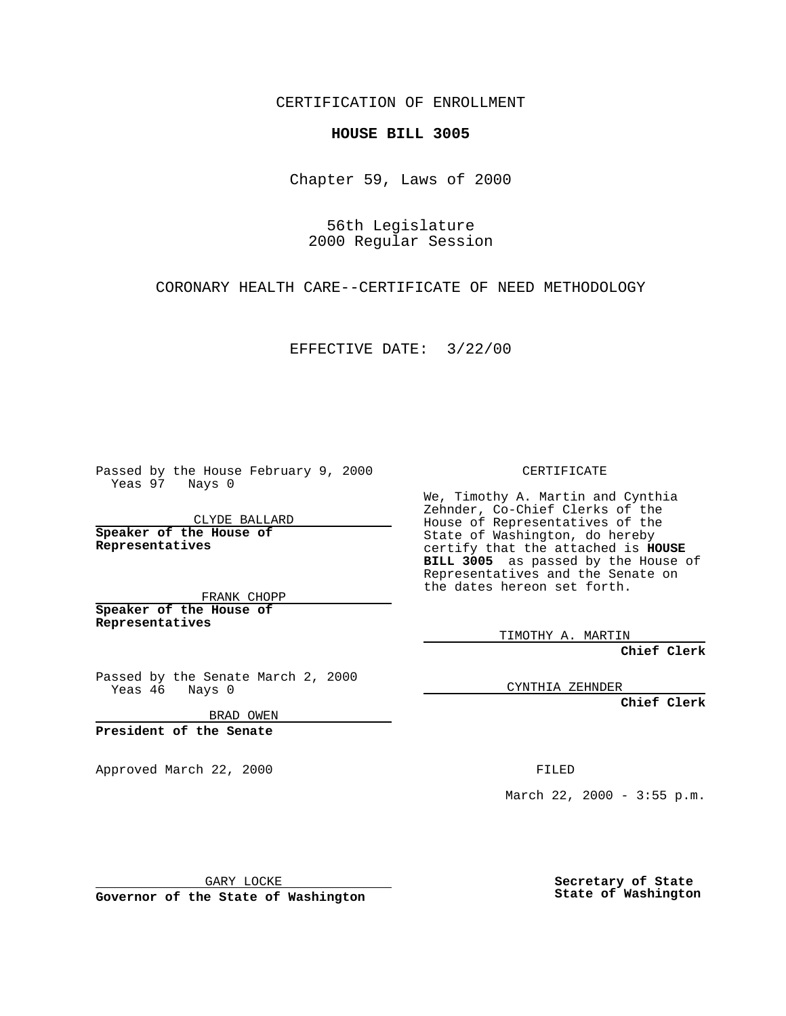CERTIFICATION OF ENROLLMENT

## **HOUSE BILL 3005**

Chapter 59, Laws of 2000

56th Legislature 2000 Regular Session

CORONARY HEALTH CARE--CERTIFICATE OF NEED METHODOLOGY

EFFECTIVE DATE: 3/22/00

Passed by the House February 9, 2000 Yeas 97 Nays 0

CLYDE BALLARD **Speaker of the House of Representatives**

FRANK CHOPP **Speaker of the House of Representatives**

Passed by the Senate March 2, 2000 Yeas 46 Nays 0

BRAD OWEN

**President of the Senate**

Approved March 22, 2000 FILED

CERTIFICATE

We, Timothy A. Martin and Cynthia Zehnder, Co-Chief Clerks of the House of Representatives of the State of Washington, do hereby certify that the attached is **HOUSE BILL 3005** as passed by the House of Representatives and the Senate on the dates hereon set forth.

TIMOTHY A. MARTIN

**Chief Clerk**

CYNTHIA ZEHNDER

**Chief Clerk**

March 22, 2000 -  $3:55$  p.m.

GARY LOCKE

**Governor of the State of Washington**

**Secretary of State State of Washington**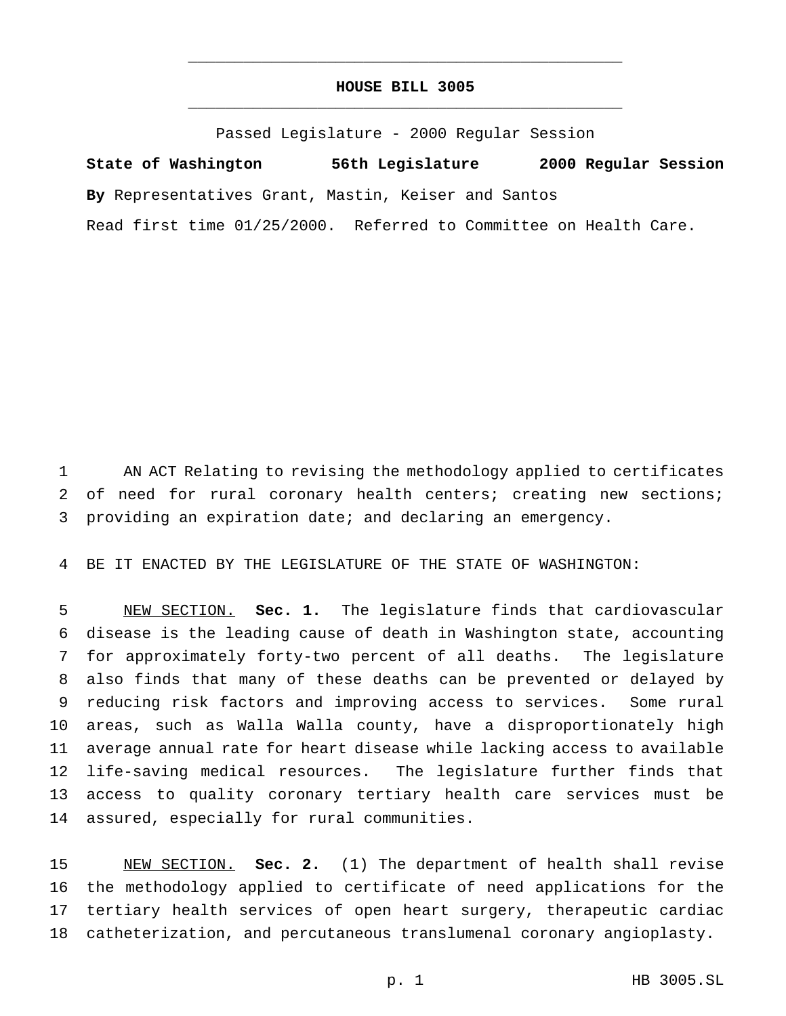## **HOUSE BILL 3005** \_\_\_\_\_\_\_\_\_\_\_\_\_\_\_\_\_\_\_\_\_\_\_\_\_\_\_\_\_\_\_\_\_\_\_\_\_\_\_\_\_\_\_\_\_\_\_

\_\_\_\_\_\_\_\_\_\_\_\_\_\_\_\_\_\_\_\_\_\_\_\_\_\_\_\_\_\_\_\_\_\_\_\_\_\_\_\_\_\_\_\_\_\_\_

Passed Legislature - 2000 Regular Session

**State of Washington 56th Legislature 2000 Regular Session By** Representatives Grant, Mastin, Keiser and Santos

Read first time 01/25/2000. Referred to Committee on Health Care.

 AN ACT Relating to revising the methodology applied to certificates 2 of need for rural coronary health centers; creating new sections; providing an expiration date; and declaring an emergency.

BE IT ENACTED BY THE LEGISLATURE OF THE STATE OF WASHINGTON:

 NEW SECTION. **Sec. 1.** The legislature finds that cardiovascular disease is the leading cause of death in Washington state, accounting for approximately forty-two percent of all deaths. The legislature also finds that many of these deaths can be prevented or delayed by reducing risk factors and improving access to services. Some rural areas, such as Walla Walla county, have a disproportionately high average annual rate for heart disease while lacking access to available life-saving medical resources. The legislature further finds that access to quality coronary tertiary health care services must be assured, especially for rural communities.

 NEW SECTION. **Sec. 2.** (1) The department of health shall revise the methodology applied to certificate of need applications for the tertiary health services of open heart surgery, therapeutic cardiac catheterization, and percutaneous translumenal coronary angioplasty.